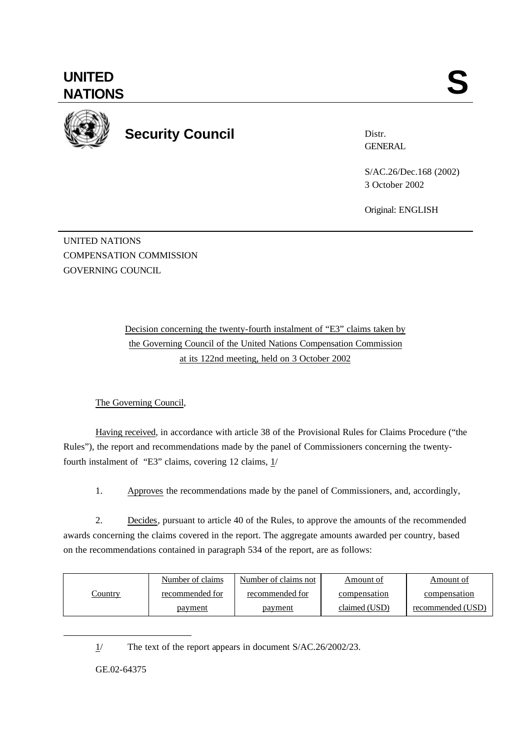**UNITED** UNITED SANTIONS



**Security Council**

Distr. **GENERAL** 

S/AC.26/Dec.168 (2002) 3 October 2002

Original: ENGLISH

UNITED NATIONS COMPENSATION COMMISSION GOVERNING COUNCIL

> Decision concerning the twenty-fourth instalment of "E3" claims taken by the Governing Council of the United Nations Compensation Commission at its 122nd meeting, held on 3 October 2002

The Governing Council,

Having received, in accordance with article 38 of the Provisional Rules for Claims Procedure ("the Rules"), the report and recommendations made by the panel of Commissioners concerning the twentyfourth instalment of "E3" claims, covering 12 claims,  $1/$ 

1. Approves the recommendations made by the panel of Commissioners, and, accordingly,

2. Decides, pursuant to article 40 of the Rules, to approve the amounts of the recommended awards concerning the claims covered in the report. The aggregate amounts awarded per country, based on the recommendations contained in paragraph 534 of the report, are as follows:

| <u>Country</u> | Number of claims | Number of claims not | Amount of     | Amount of         |
|----------------|------------------|----------------------|---------------|-------------------|
|                | recommended for  | recommended for      | compensation  | compensation      |
|                | <u>payment</u>   | <u>payment</u>       | claimed (USD) | recommended (USD) |

1/ The text of the report appears in document S/AC.26/2002/23.

GE.02-64375

l